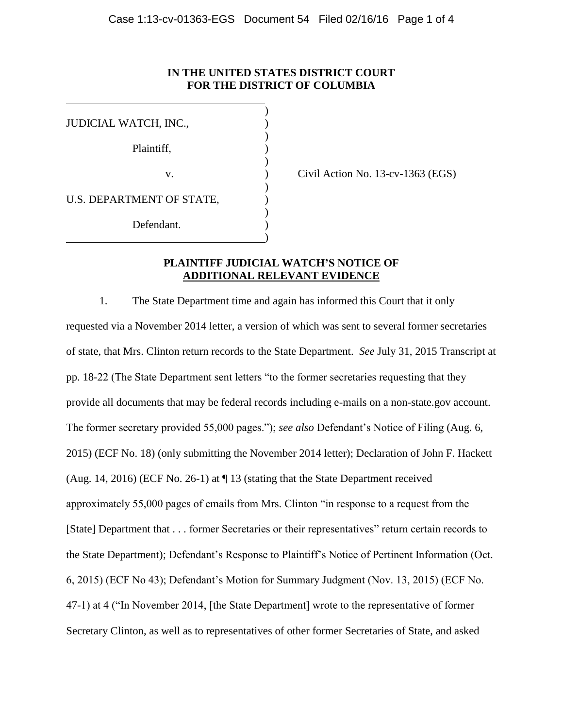### **IN THE UNITED STATES DISTRICT COURT FOR THE DISTRICT OF COLUMBIA**

| JUDICIAL WATCH, INC.,     |  |
|---------------------------|--|
|                           |  |
| Plaintiff,                |  |
| V.                        |  |
|                           |  |
| U.S. DEPARTMENT OF STATE, |  |
|                           |  |
| Defendant.                |  |
|                           |  |

Civil Action No.  $13$ -cv- $1363$  (EGS)

## **PLAINTIFF JUDICIAL WATCH'S NOTICE OF ADDITIONAL RELEVANT EVIDENCE**

1. The State Department time and again has informed this Court that it only requested via a November 2014 letter, a version of which was sent to several former secretaries of state, that Mrs. Clinton return records to the State Department. *See* July 31, 2015 Transcript at pp. 18-22 (The State Department sent letters "to the former secretaries requesting that they provide all documents that may be federal records including e-mails on a non-state.gov account. The former secretary provided 55,000 pages."); *see also* Defendant's Notice of Filing (Aug. 6, 2015) (ECF No. 18) (only submitting the November 2014 letter); Declaration of John F. Hackett (Aug. 14, 2016) (ECF No. 26-1) at ¶ 13 (stating that the State Department received approximately 55,000 pages of emails from Mrs. Clinton "in response to a request from the [State] Department that . . . former Secretaries or their representatives" return certain records to the State Department); Defendant's Response to Plaintiff's Notice of Pertinent Information (Oct. 6, 2015) (ECF No 43); Defendant's Motion for Summary Judgment (Nov. 13, 2015) (ECF No. 47-1) at 4 ("In November 2014, [the State Department] wrote to the representative of former Secretary Clinton, as well as to representatives of other former Secretaries of State, and asked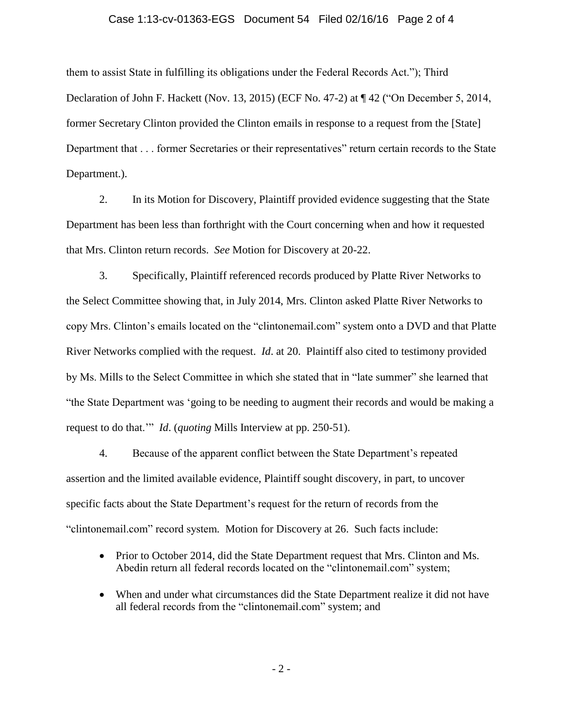#### Case 1:13-cv-01363-EGS Document 54 Filed 02/16/16 Page 2 of 4

them to assist State in fulfilling its obligations under the Federal Records Act."); Third Declaration of John F. Hackett (Nov. 13, 2015) (ECF No. 47-2) at ¶ 42 ("On December 5, 2014, former Secretary Clinton provided the Clinton emails in response to a request from the [State] Department that . . . former Secretaries or their representatives" return certain records to the State Department.).

2. In its Motion for Discovery, Plaintiff provided evidence suggesting that the State Department has been less than forthright with the Court concerning when and how it requested that Mrs. Clinton return records. *See* Motion for Discovery at 20-22.

3. Specifically, Plaintiff referenced records produced by Platte River Networks to the Select Committee showing that, in July 2014, Mrs. Clinton asked Platte River Networks to copy Mrs. Clinton's emails located on the "clintonemail.com" system onto a DVD and that Platte River Networks complied with the request. *Id*. at 20. Plaintiff also cited to testimony provided by Ms. Mills to the Select Committee in which she stated that in "late summer" she learned that "the State Department was 'going to be needing to augment their records and would be making a request to do that.'" *Id*. (*quoting* Mills Interview at pp. 250-51).

4. Because of the apparent conflict between the State Department's repeated assertion and the limited available evidence, Plaintiff sought discovery, in part, to uncover specific facts about the State Department's request for the return of records from the "clintonemail.com" record system*.* Motion for Discovery at 26. Such facts include:

- Prior to October 2014, did the State Department request that Mrs. Clinton and Ms. Abedin return all federal records located on the "clintonemail.com" system;
- When and under what circumstances did the State Department realize it did not have all federal records from the "clintonemail.com" system; and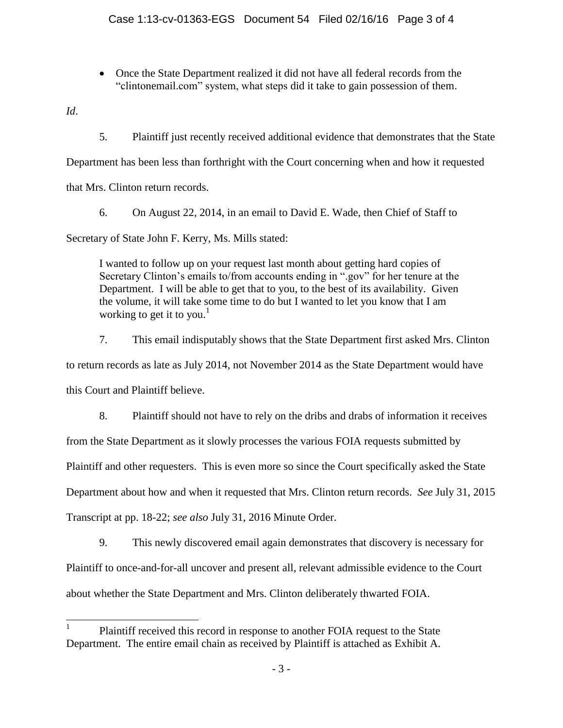• Once the State Department realized it did not have all federal records from the "clintonemail.com" system, what steps did it take to gain possession of them.

*Id*.

5. Plaintiff just recently received additional evidence that demonstrates that the State

Department has been less than forthright with the Court concerning when and how it requested

that Mrs. Clinton return records.

6. On August 22, 2014, in an email to David E. Wade, then Chief of Staff to

Secretary of State John F. Kerry, Ms. Mills stated:

I wanted to follow up on your request last month about getting hard copies of Secretary Clinton's emails to/from accounts ending in ".gov" for her tenure at the Department. I will be able to get that to you, to the best of its availability. Given the volume, it will take some time to do but I wanted to let you know that I am working to get it to you.<sup>1</sup>

7. This email indisputably shows that the State Department first asked Mrs. Clinton to return records as late as July 2014, not November 2014 as the State Department would have this Court and Plaintiff believe. 8. Plaintiff should not have to rely on the dribs and drabs of information it receives

from the State Department as it slowly processes the various FOIA requests submitted by Plaintiff and other requesters. This is even more so since the Court specifically asked the State Department about how and when it requested that Mrs. Clinton return records. *See* July 31, 2015 Transcript at pp. 18-22; *see also* July 31, 2016 Minute Order.

9. This newly discovered email again demonstrates that discovery is necessary for Plaintiff to once-and-for-all uncover and present all, relevant admissible evidence to the Court about whether the State Department and Mrs. Clinton deliberately thwarted FOIA.

<sup>|&</sup>lt;br>| Plaintiff received this record in response to another FOIA request to the State Department. The entire email chain as received by Plaintiff is attached as Exhibit A.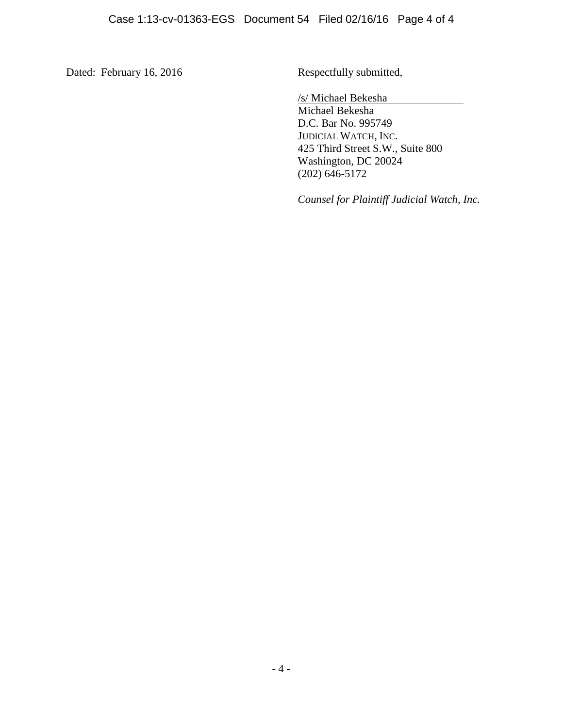Dated: February 16, 2016 Respectfully submitted,

/s/ Michael Bekesha

Michael Bekesha D.C. Bar No. 995749 JUDICIAL WATCH, INC. 425 Third Street S.W., Suite 800 Washington, DC 20024 (202) 646-5172

*Counsel for Plaintiff Judicial Watch, Inc.*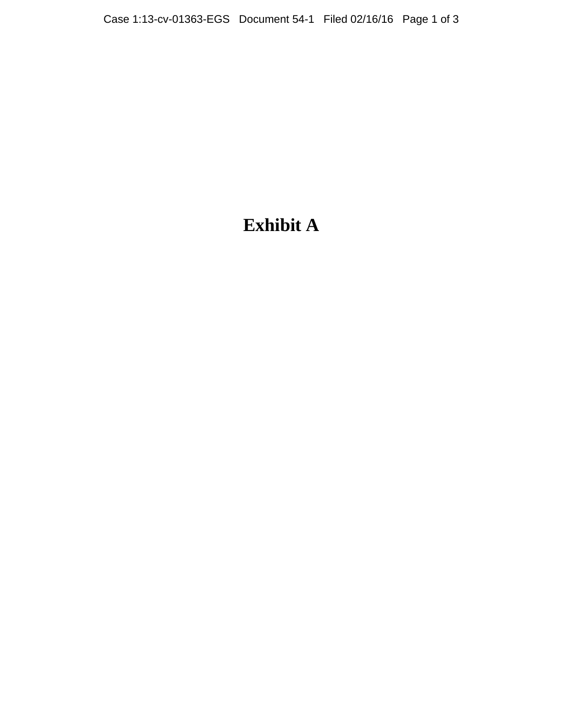# **Exhibit A**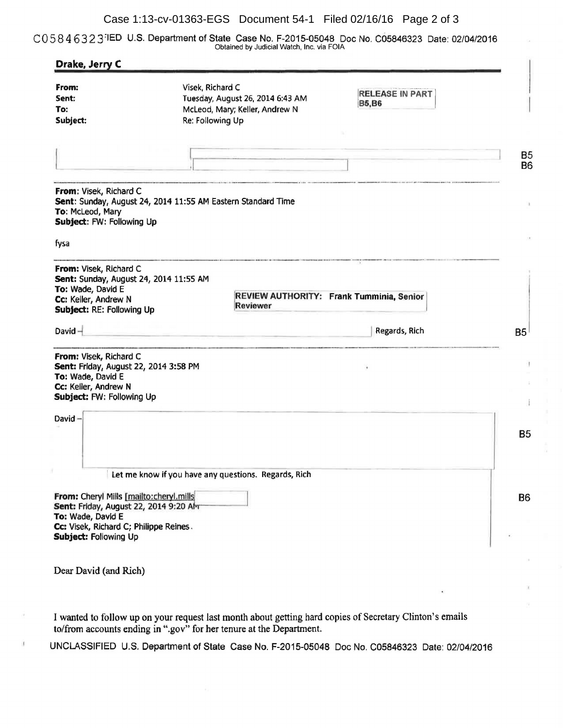#### Case 1:13-cv-01363-EGS Document 54-1 Filed 02/16/16 Page 2 of 3

CO 5 8 4 6 3 2 3:1ED U.S. Department of State Case No. F-2015-05048 Doc No. C05846323 Date: 02/04/2016 Obtained by Judicial Watch, Inc. via FOIA

| From:<br>Sent:                                                                                                                             | Visek, Richard C<br>Tuesday, August 26, 2014 6:43 AM         | <b>RELEASE IN PART</b>                   |  |
|--------------------------------------------------------------------------------------------------------------------------------------------|--------------------------------------------------------------|------------------------------------------|--|
| To:                                                                                                                                        | McLeod, Mary; Keller, Andrew N                               | <b>B5,B6</b>                             |  |
| Subject:                                                                                                                                   | Re: Following Up                                             |                                          |  |
|                                                                                                                                            |                                                              |                                          |  |
|                                                                                                                                            |                                                              |                                          |  |
| From: Visek, Richard C<br>To: McLeod, Mary<br>Subject: FW: Following Up                                                                    | Sent: Sunday, August 24, 2014 11:55 AM Eastern Standard Time |                                          |  |
| fysa                                                                                                                                       |                                                              |                                          |  |
| From: Visek, Richard C<br>Sent: Sunday, August 24, 2014 11:55 AM<br>To: Wade, David E<br>Cc: Keller, Andrew N<br>Subject: RE: Following Up | Reviewer                                                     | REVIEW AUTHORITY: Frank Tumminia, Senior |  |
| David $-$                                                                                                                                  |                                                              | Regards, Rich                            |  |
|                                                                                                                                            |                                                              |                                          |  |
| From: Visek, Richard C<br>Sent: Friday, August 22, 2014 3:58 PM<br>To: Wade, David E<br>Cc: Keller, Andrew N<br>Subject: FW: Following Up  |                                                              |                                          |  |
|                                                                                                                                            |                                                              |                                          |  |
| David $-$                                                                                                                                  |                                                              |                                          |  |
|                                                                                                                                            | Let me know if you have any questions. Regards, Rich         |                                          |  |
| From: Cheryl Mills [mailto:cheryl.mills<br>Sent: Friday, August 22, 2014 9:20 AM<br>To: Wade, David E                                      |                                                              |                                          |  |
| Cc: Visek, Richard C; Philippe Reines.<br>Subject: Following Up                                                                            |                                                              |                                          |  |
|                                                                                                                                            |                                                              |                                          |  |
| Dear David (and Rich)                                                                                                                      |                                                              |                                          |  |

I wanted to follow up on your request last month about getting hard copies of Secretary Clinton's emails to/from accounts ending in ".gov" for her tenure at the Department.

U.

UNCLASSIFIED U.S. Department of State Case No. F-2015-05048 Doc No. C05846323 Date: 02/04/2016